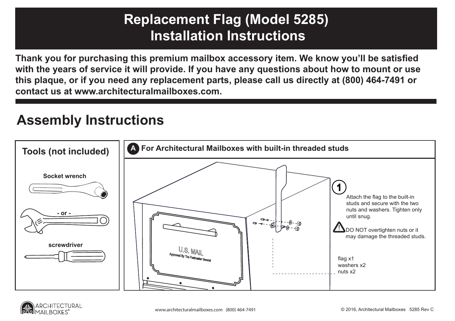## ug (m<br>Inotru **1113111011101110 Replacement Flag (Model 5285) Installation Instructions**

**Oasis Mailbox, Drop Box Thank you for purchasing this premium mailbox accessory item. We know you'll be satisfied it was a structured by the satisfied s with the years of service it will provide. If you have any questions about how to mount or use this plaque, or if you need any replacement parts, please call us directly at (800) 464-7491 or contact us at www.architecturalmailboxes.com.**

## **Assembly Instructions**